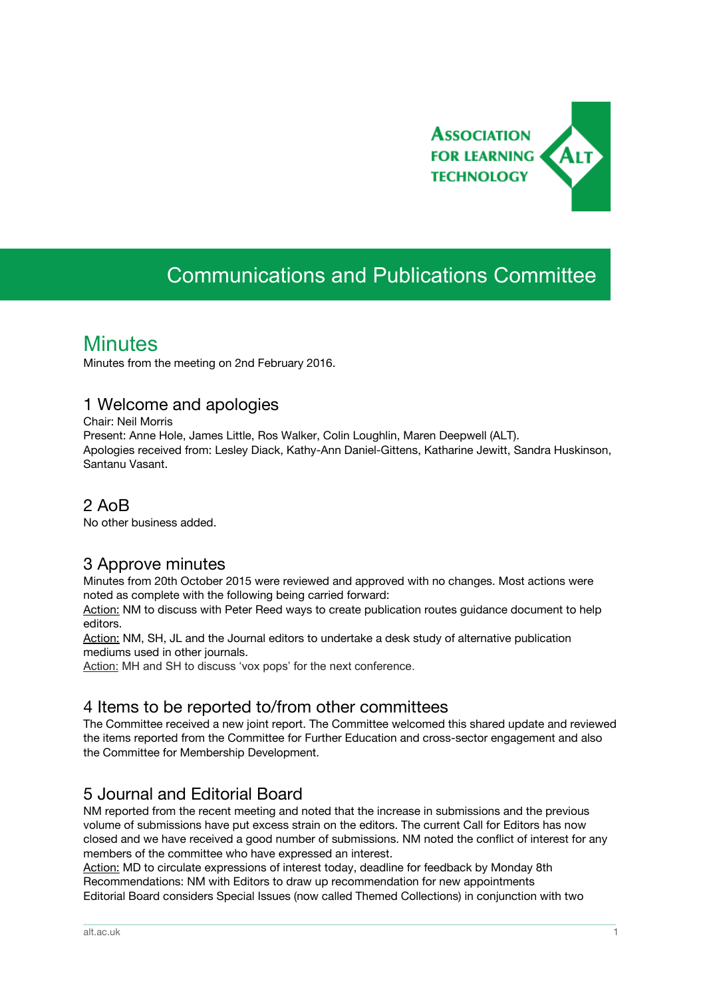

# Communications and Publications Committee

# **Minutes**

Minutes from the meeting on 2nd February 2016.

#### 1 Welcome and apologies

Chair: Neil Morris

Present: Anne Hole, James Little, Ros Walker, Colin Loughlin, Maren Deepwell (ALT). Apologies received from: Lesley Diack, Kathy-Ann Daniel-Gittens, Katharine Jewitt, Sandra Huskinson, Santanu Vasant.

### 2 AoB

No other business added.

## 3 Approve minutes

Minutes from 20th October 2015 were reviewed and approved with no changes. Most actions were noted as complete with the following being carried forward:

Action: NM to discuss with Peter Reed ways to create publication routes guidance document to help editors.

Action: NM, SH, JL and the Journal editors to undertake a desk study of alternative publication mediums used in other journals.

Action: MH and SH to discuss 'vox pops' for the next conference.

#### 4 Items to be reported to/from other committees

The Committee received a new joint report. The Committee welcomed this shared update and reviewed the items reported from the Committee for Further Education and cross-sector engagement and also the Committee for Membership Development.

## 5 Journal and Editorial Board

NM reported from the recent meeting and noted that the increase in submissions and the previous volume of submissions have put excess strain on the editors. The current Call for Editors has now closed and we have received a good number of submissions. NM noted the conflict of interest for any members of the committee who have expressed an interest.

\_\_\_\_\_\_\_\_\_\_\_\_\_\_\_\_\_\_\_\_\_\_\_\_\_\_\_\_\_\_\_\_\_\_\_\_\_\_\_\_\_\_\_\_\_\_\_\_\_\_\_\_\_\_\_\_\_\_\_\_\_\_\_\_\_\_\_\_\_\_\_\_\_\_\_\_\_\_\_\_\_\_\_\_\_\_\_\_\_\_\_\_\_\_\_\_\_\_\_\_\_\_\_\_\_\_\_\_\_\_\_\_\_\_\_\_\_\_\_\_\_\_\_\_\_\_\_\_\_\_\_\_\_\_\_\_\_\_\_\_\_\_\_\_\_\_\_\_\_\_

Action: MD to circulate expressions of interest today, deadline for feedback by Monday 8th Recommendations: NM with Editors to draw up recommendation for new appointments Editorial Board considers Special Issues (now called Themed Collections) in conjunction with two